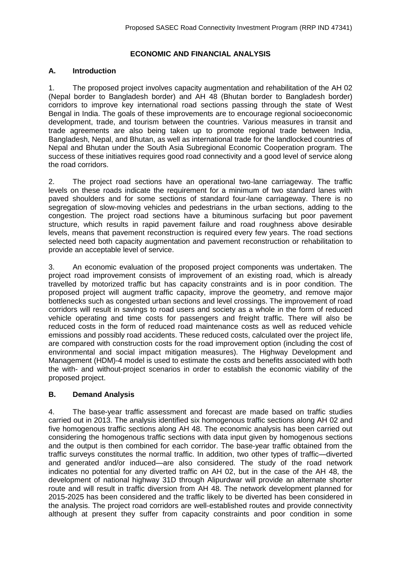# **ECONOMIC AND FINANCIAL ANALYSIS**

## **A. Introduction**

1. The proposed project involves capacity augmentation and rehabilitation of the AH 02 (Nepal border to Bangladesh border) and AH 48 (Bhutan border to Bangladesh border) corridors to improve key international road sections passing through the state of West Bengal in India. The goals of these improvements are to encourage regional socioeconomic development, trade, and tourism between the countries. Various measures in transit and trade agreements are also being taken up to promote regional trade between India, Bangladesh, Nepal, and Bhutan, as well as international trade for the landlocked countries of Nepal and Bhutan under the South Asia Subregional Economic Cooperation program. The success of these initiatives requires good road connectivity and a good level of service along the road corridors.

2. The project road sections have an operational two-lane carriageway. The traffic levels on these roads indicate the requirement for a minimum of two standard lanes with paved shoulders and for some sections of standard four-lane carriageway. There is no segregation of slow-moving vehicles and pedestrians in the urban sections, adding to the congestion. The project road sections have a bituminous surfacing but poor pavement structure, which results in rapid pavement failure and road roughness above desirable levels, means that pavement reconstruction is required every few years. The road sections selected need both capacity augmentation and pavement reconstruction or rehabilitation to provide an acceptable level of service.

3. An economic evaluation of the proposed project components was undertaken. The project road improvement consists of improvement of an existing road, which is already travelled by motorized traffic but has capacity constraints and is in poor condition. The proposed project will augment traffic capacity, improve the geometry, and remove major bottlenecks such as congested urban sections and level crossings. The improvement of road corridors will result in savings to road users and society as a whole in the form of reduced vehicle operating and time costs for passengers and freight traffic. There will also be reduced costs in the form of reduced road maintenance costs as well as reduced vehicle emissions and possibly road accidents. These reduced costs, calculated over the project life, are compared with construction costs for the road improvement option (including the cost of environmental and social impact mitigation measures). The Highway Development and Management (HDM)-4 model is used to estimate the costs and benefits associated with both the with- and without-project scenarios in order to establish the economic viability of the proposed project.

#### **B. Demand Analysis**

4. The base-year traffic assessment and forecast are made based on traffic studies carried out in 2013. The analysis identified six homogenous traffic sections along AH 02 and five homogenous traffic sections along AH 48. The economic analysis has been carried out considering the homogenous traffic sections with data input given by homogenous sections and the output is then combined for each corridor. The base-year traffic obtained from the traffic surveys constitutes the normal traffic. In addition, two other types of traffic—diverted and generated and/or induced—are also considered. The study of the road network indicates no potential for any diverted traffic on AH 02, but in the case of the AH 48, the development of national highway 31D through Alipurdwar will provide an alternate shorter route and will result in traffic diversion from AH 48. The network development planned for 2015-2025 has been considered and the traffic likely to be diverted has been considered in the analysis. The project road corridors are well-established routes and provide connectivity although at present they suffer from capacity constraints and poor condition in some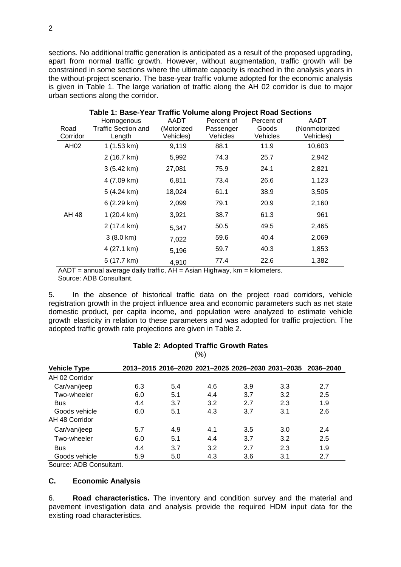sections. No additional traffic generation is anticipated as a result of the proposed upgrading, apart from normal traffic growth. However, without augmentation, traffic growth will be constrained in some sections where the ultimate capacity is reached in the analysis years in the without-project scenario. The base-year traffic volume adopted for the economic analysis is given in Table 1. The large variation of traffic along the AH 02 corridor is due to major urban sections along the corridor.

| Table 1: Base-Year Traffic Volume along Project Road Sections |                      |            |            |            |               |  |  |  |
|---------------------------------------------------------------|----------------------|------------|------------|------------|---------------|--|--|--|
|                                                               | Homogenous           | AADT       | Percent of | Percent of | AADT          |  |  |  |
| Road                                                          | Traffic Section and  | (Motorized | Passenger  | Goods      | (Nonmotorized |  |  |  |
| Corridor                                                      | Length               | Vehicles)  | Vehicles   | Vehicles   | Vehicles)     |  |  |  |
| AH02                                                          | 1(1.53 km)           | 9,119      | 88.1       | 11.9       | 10,603        |  |  |  |
|                                                               | 2 (16.7 km)          | 5,992      | 74.3       | 25.7       | 2,942         |  |  |  |
|                                                               | $3(5.42 \text{ km})$ | 27,081     | 75.9       | 24.1       | 2,821         |  |  |  |
|                                                               | 4 (7.09 km)          | 6,811      | 73.4       | 26.6       | 1,123         |  |  |  |
|                                                               | 5 (4.24 km)          | 18,024     | 61.1       | 38.9       | 3,505         |  |  |  |
|                                                               | 6(2.29 km)           | 2,099      | 79.1       | 20.9       | 2,160         |  |  |  |
| AH 48                                                         | $1(20.4 \text{ km})$ | 3,921      | 38.7       | 61.3       | 961           |  |  |  |
|                                                               | 2 (17.4 km)          | 5,347      | 50.5       | 49.5       | 2,465         |  |  |  |
|                                                               | $3(8.0 \text{ km})$  | 7,022      | 59.6       | 40.4       | 2,069         |  |  |  |
|                                                               | 4 (27.1 km)          | 5,196      | 59.7       | 40.3       | 1,853         |  |  |  |
|                                                               | 5 (17.7 km)          | 4,910      | 77.4       | 22.6       | 1,382         |  |  |  |

 $AADT =$  annual average daily traffic,  $AH =$  Asian Highway, km = kilometers. Source: ADB Consultant.

5. In the absence of historical traffic data on the project road corridors, vehicle registration growth in the project influence area and economic parameters such as net state domestic product, per capita income, and population were analyzed to estimate vehicle growth elasticity in relation to these parameters and was adopted for traffic projection. The adopted traffic growth rate projections are given in Table 2.

|     |     | $\frac{9}{6}$ |     |     |                                                             |
|-----|-----|---------------|-----|-----|-------------------------------------------------------------|
|     |     |               |     |     |                                                             |
|     |     |               |     |     |                                                             |
| 6.3 | 5.4 | 4.6           | 3.9 | 3.3 | 2.7                                                         |
| 6.0 | 5.1 | 4.4           | 3.7 | 3.2 | 2.5                                                         |
| 4.4 | 3.7 | 3.2           | 2.7 | 2.3 | 1.9                                                         |
| 6.0 | 5.1 | 4.3           | 3.7 | 3.1 | 2.6                                                         |
| 5.7 | 4.9 | 4.1           | 3.5 | 3.0 | 2.4                                                         |
| 6.0 | 5.1 | 4.4           | 3.7 | 3.2 | 2.5                                                         |
| 4.4 | 3.7 | 3.2           | 2.7 | 2.3 | 1.9                                                         |
| 5.9 | 5.0 | 4.3           | 3.6 | 3.1 | 2.7                                                         |
|     |     |               |     |     | 2013-2015 2016-2020 2021-2025 2026-2030 2031-2035 2036-2040 |

## **Table 2: Adopted Traffic Growth Rates**

Source: ADB Consultant.

#### **C. Economic Analysis**

6. **Road characteristics.** The inventory and condition survey and the material and pavement investigation data and analysis provide the required HDM input data for the existing road characteristics.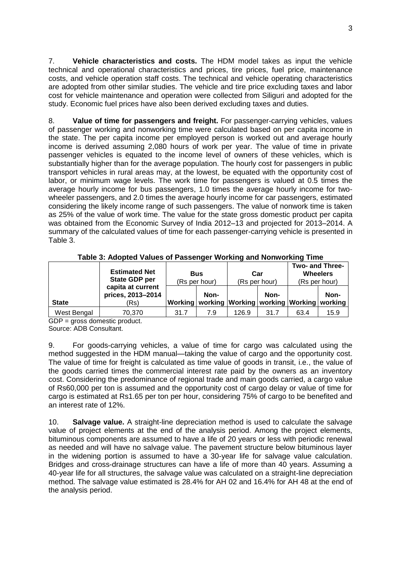7. **Vehicle characteristics and costs.** The HDM model takes as input the vehicle technical and operational characteristics and prices, tire prices, fuel price, maintenance costs, and vehicle operation staff costs. The technical and vehicle operating characteristics are adopted from other similar studies. The vehicle and tire price excluding taxes and labor cost for vehicle maintenance and operation were collected from Siliguri and adopted for the study. Economic fuel prices have also been derived excluding taxes and duties.

8. **Value of time for passengers and freight.** For passenger-carrying vehicles, values of passenger working and nonworking time were calculated based on per capita income in the state. The per capita income per employed person is worked out and average hourly income is derived assuming 2,080 hours of work per year. The value of time in private passenger vehicles is equated to the income level of owners of these vehicles, which is substantially higher than for the average population. The hourly cost for passengers in public transport vehicles in rural areas may, at the lowest, be equated with the opportunity cost of labor, or minimum wage levels. The work time for passengers is valued at 0.5 times the average hourly income for bus passengers, 1.0 times the average hourly income for twowheeler passengers, and 2.0 times the average hourly income for car passengers, estimated considering the likely income range of such passengers. The value of nonwork time is taken as 25% of the value of work time. The value for the state gross domestic product per capita was obtained from the Economic Survey of India 2012–13 and projected for 2013–2014. A summary of the calculated values of time for each passenger-carrying vehicle is presented in Table 3.

|              | <b>Estimated Net</b><br>State GDP per          | <b>Bus</b><br>(Rs per hour) |      | Car<br>(Rs per hour)                                      |      | Two- and Three-<br><b>Wheelers</b><br>(Rs per hour) |      |
|--------------|------------------------------------------------|-----------------------------|------|-----------------------------------------------------------|------|-----------------------------------------------------|------|
| <b>State</b> | capita at current<br>prices, 2013-2014<br>(Rs) |                             | Non- | Working   working   Working   working   Working   working | Non- |                                                     | Non- |
| West Bengal  | 70,370                                         | 31.7                        | 7.9  | 126.9                                                     | 31.7 | 63.4                                                | 15.9 |

**Table 3: Adopted Values of Passenger Working and Nonworking Time**

GDP = gross domestic product. Source: ADB Consultant.

9. For goods-carrying vehicles, a value of time for cargo was calculated using the method suggested in the HDM manual—taking the value of cargo and the opportunity cost. The value of time for freight is calculated as time value of goods in transit, i.e., the value of the goods carried times the commercial interest rate paid by the owners as an inventory cost. Considering the predominance of regional trade and main goods carried, a cargo value of Rs60,000 per ton is assumed and the opportunity cost of cargo delay or value of time for cargo is estimated at Rs1.65 per ton per hour, considering 75% of cargo to be benefited and an interest rate of 12%.

10. **Salvage value.** A straight-line depreciation method is used to calculate the salvage value of project elements at the end of the analysis period. Among the project elements, bituminous components are assumed to have a life of 20 years or less with periodic renewal as needed and will have no salvage value. The pavement structure below bituminous layer in the widening portion is assumed to have a 30-year life for salvage value calculation. Bridges and cross-drainage structures can have a life of more than 40 years. Assuming a 40-year life for all structures, the salvage value was calculated on a straight-line depreciation method. The salvage value estimated is 28.4% for AH 02 and 16.4% for AH 48 at the end of the analysis period.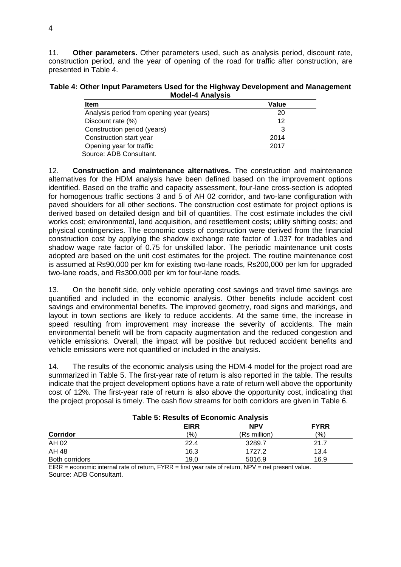11. **Other parameters.** Other parameters used, such as analysis period, discount rate, construction period, and the year of opening of the road for traffic after construction, are presented in Table 4.

**Table 4: Other Input Parameters Used for the Highway Development and Management Model-4 Analysis**

| <b>Item</b>                                               | Value |
|-----------------------------------------------------------|-------|
| Analysis period from opening year (years)                 | 20    |
| Discount rate (%)                                         | 12    |
| Construction period (years)                               | 3     |
| Construction start year                                   | 2014  |
| Opening year for traffic                                  | 2017  |
| $C_{\text{OUTCO}}$ , $\Lambda$ DR $C_{\text{ODC}}$ ultont |       |

Source: ADB Consultant.

12. **Construction and maintenance alternatives.** The construction and maintenance alternatives for the HDM analysis have been defined based on the improvement options identified. Based on the traffic and capacity assessment, four-lane cross-section is adopted for homogenous traffic sections 3 and 5 of AH 02 corridor, and two-lane configuration with paved shoulders for all other sections. The construction cost estimate for project options is derived based on detailed design and bill of quantities. The cost estimate includes the civil works cost; environmental, land acquisition, and resettlement costs; utility shifting costs; and physical contingencies. The economic costs of construction were derived from the financial construction cost by applying the shadow exchange rate factor of 1.037 for tradables and shadow wage rate factor of 0.75 for unskilled labor. The periodic maintenance unit costs adopted are based on the unit cost estimates for the project. The routine maintenance cost is assumed at Rs90,000 per km for existing two-lane roads, Rs200,000 per km for upgraded two-lane roads, and Rs300,000 per km for four-lane roads.

13. On the benefit side, only vehicle operating cost savings and travel time savings are quantified and included in the economic analysis. Other benefits include accident cost savings and environmental benefits. The improved geometry, road signs and markings, and layout in town sections are likely to reduce accidents. At the same time, the increase in speed resulting from improvement may increase the severity of accidents. The main environmental benefit will be from capacity augmentation and the reduced congestion and vehicle emissions. Overall, the impact will be positive but reduced accident benefits and vehicle emissions were not quantified or included in the analysis.

14. The results of the economic analysis using the HDM-4 model for the project road are summarized in Table 5. The first-year rate of return is also reported in the table. The results indicate that the project development options have a rate of return well above the opportunity cost of 12%. The first-year rate of return is also above the opportunity cost, indicating that the project proposal is timely. The cash flow streams for both corridors are given in Table 6.

| <b>Table 5: Results of Economic Analysis</b> |               |              |      |  |  |  |  |  |
|----------------------------------------------|---------------|--------------|------|--|--|--|--|--|
| <b>FYRR</b><br><b>NPV</b><br><b>EIRR</b>     |               |              |      |  |  |  |  |  |
| <b>Corridor</b>                              | $\frac{1}{2}$ | (Rs million) | (%)  |  |  |  |  |  |
| AH 02                                        | 22.4          | 3289.7       | 21.7 |  |  |  |  |  |
| AH 48                                        | 16.3          | 1727.2       | 13.4 |  |  |  |  |  |
| Both corridors                               | 19.0          | 5016.9       | 16.9 |  |  |  |  |  |
| _ _ _ _                                      | _____         | .            |      |  |  |  |  |  |

EIRR = economic internal rate of return, FYRR = first year rate of return, NPV = net present value. Source: ADB Consultant.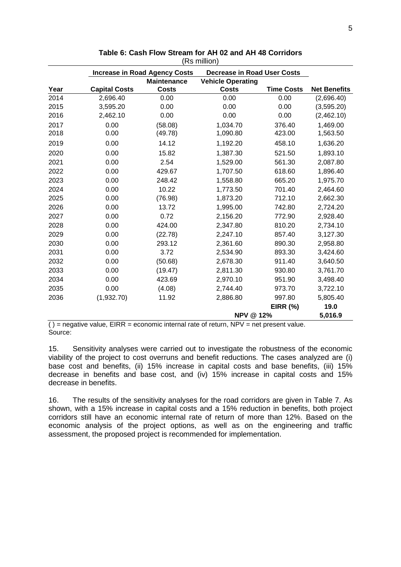|      |                      | <b>Increase in Road Agency Costs</b> | <b>Decrease in Road User Costs</b> |                   |                     |
|------|----------------------|--------------------------------------|------------------------------------|-------------------|---------------------|
|      |                      | <b>Maintenance</b>                   | <b>Vehicle Operating</b>           |                   |                     |
| Year | <b>Capital Costs</b> | <b>Costs</b>                         | <b>Costs</b>                       | <b>Time Costs</b> | <b>Net Benefits</b> |
| 2014 | 2,696.40             | 0.00                                 | 0.00                               | 0.00              | (2,696.40)          |
| 2015 | 3,595.20             | 0.00                                 | 0.00                               | 0.00              | (3,595.20)          |
| 2016 | 2,462.10             | 0.00                                 | 0.00                               | 0.00              | (2,462.10)          |
| 2017 | 0.00                 | (58.08)                              | 1,034.70                           | 376.40            | 1,469.00            |
| 2018 | 0.00                 | (49.78)                              | 1,090.80                           | 423.00            | 1,563.50            |
| 2019 | 0.00                 | 14.12                                | 1,192.20                           | 458.10            | 1,636.20            |
| 2020 | 0.00                 | 15.82                                | 1,387.30                           | 521.50            | 1,893.10            |
| 2021 | 0.00                 | 2.54                                 | 1,529.00                           | 561.30            | 2,087.80            |
| 2022 | 0.00                 | 429.67                               | 1,707.50                           | 618.60            | 1,896.40            |
| 2023 | 0.00                 | 248.42                               | 1,558.80                           | 665.20            | 1,975.70            |
| 2024 | 0.00                 | 10.22                                | 1,773.50                           | 701.40            | 2,464.60            |
| 2025 | 0.00                 | (76.98)                              | 1,873.20                           | 712.10            | 2,662.30            |
| 2026 | 0.00                 | 13.72                                | 1,995.00                           | 742.80            | 2,724.20            |
| 2027 | 0.00                 | 0.72                                 | 2,156.20                           | 772.90            | 2,928.40            |
| 2028 | 0.00                 | 424.00                               | 2,347.80                           | 810.20            | 2,734.10            |
| 2029 | 0.00                 | (22.78)                              | 2,247.10                           | 857.40            | 3,127.30            |
| 2030 | 0.00                 | 293.12                               | 2,361.60                           | 890.30            | 2,958.80            |
| 2031 | 0.00                 | 3.72                                 | 2,534.90                           | 893.30            | 3,424.60            |
| 2032 | 0.00                 | (50.68)                              | 2,678.30                           | 911.40            | 3,640.50            |
| 2033 | 0.00                 | (19.47)                              | 2,811.30                           | 930.80            | 3,761.70            |
| 2034 | 0.00                 | 423.69                               | 2,970.10                           | 951.90            | 3,498.40            |
| 2035 | 0.00                 | (4.08)                               | 2,744.40                           | 973.70            | 3,722.10            |
| 2036 | (1,932.70)           | 11.92                                | 2,886.80                           | 997.80            | 5,805.40            |
|      |                      |                                      |                                    | <b>EIRR (%)</b>   | 19.0                |
|      |                      |                                      | <b>NPV @ 12%</b>                   |                   | 5,016.9             |
|      |                      |                                      |                                    |                   |                     |

| Table 6: Cash Flow Stream for AH 02 and AH 48 Corridors |  |
|---------------------------------------------------------|--|
| (Rs million)                                            |  |

 $( )$  = negative value, EIRR = economic internal rate of return, NPV = net present value. Source:

15. Sensitivity analyses were carried out to investigate the robustness of the economic viability of the project to cost overruns and benefit reductions. The cases analyzed are (i) base cost and benefits, (ii) 15% increase in capital costs and base benefits, (iii) 15% decrease in benefits and base cost, and (iv) 15% increase in capital costs and 15% decrease in benefits.

16. The results of the sensitivity analyses for the road corridors are given in Table 7. As shown, with a 15% increase in capital costs and a 15% reduction in benefits, both project corridors still have an economic internal rate of return of more than 12%. Based on the economic analysis of the project options, as well as on the engineering and traffic assessment, the proposed project is recommended for implementation.